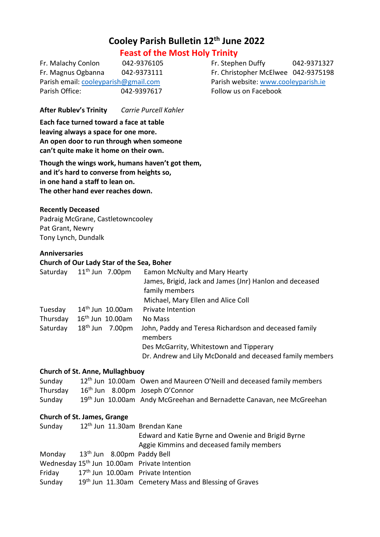# **Cooley Parish Bulletin 12th June 2022**

# **Feast of the Most Holy Trinity**

Fr. Malachy Conlon 042-9376105 Fr. Stephen Duffy 042-9371327 Parish email[: cooleyparish@gmail.com](mailto:cooleyparish@gmail.com) Parish website: [www.cooleyparish.ie](http://www.cooleyparish.ie/) Parish Office: 042-9397617 Follow us on Facebook

Fr. Magnus Ogbanna 042-9373111 Fr. Christopher McElwee 042-9375198

**After Rublev's Trinity** *Carrie Purcell Kahler*

**Each face turned toward a face at table leaving always a space for one more. An open door to run through when someone can't quite make it home on their own.**

**Though the wings work, humans haven't got them, and it's hard to converse from heights so, in one hand a staff to lean on. The other hand ever reaches down.**

# **Recently Deceased**

Padraig McGrane, Castletowncooley Pat Grant, Newry Tony Lynch, Dundalk

#### **Anniversaries**

#### **Church of Our Lady Star of the Sea, Boher**

| Saturday | $11th$ Jun 7.00pm     | Eamon McNulty and Mary Hearty                                    |
|----------|-----------------------|------------------------------------------------------------------|
|          |                       | James, Brigid, Jack and James (Jnr) Hanlon and deceased          |
|          |                       | family members                                                   |
|          |                       | Michael, Mary Ellen and Alice Coll                               |
| Tuesday  | $14th$ Jun $10.00$ am | <b>Private Intention</b>                                         |
| Thursday | $16th$ Jun $10.00$ am | No Mass                                                          |
| Saturday | $18th$ Jun 7.00pm     | John, Paddy and Teresa Richardson and deceased family<br>members |
|          |                       | Des McGarrity, Whitestown and Tipperary                          |
|          |                       | Dr. Andrew and Lily McDonald and deceased family members         |
|          |                       |                                                                  |

#### **Church of St. Anne, Mullaghbuoy**

| Sunday |                                                      | 12 <sup>th</sup> Jun 10.00am Owen and Maureen O'Neill and deceased family members |
|--------|------------------------------------------------------|-----------------------------------------------------------------------------------|
|        | Thursday 16 <sup>th</sup> Jun 8.00pm Joseph O'Connor |                                                                                   |
| Sunday |                                                      | 19 <sup>th</sup> Jun 10.00am Andy McGreehan and Bernadette Canavan, nee McGreehan |

#### **Church of St. James, Grange**

| Sunday                            |  | 12 <sup>th</sup> Jun 11.30am Brendan Kane                         |
|-----------------------------------|--|-------------------------------------------------------------------|
|                                   |  | Edward and Katie Byrne and Owenie and Brigid Byrne                |
|                                   |  | Aggie Kimmins and deceased family members                         |
| Monday 13th Jun 8.00pm Paddy Bell |  |                                                                   |
|                                   |  | Wednesday 15 <sup>th</sup> Jun 10.00am Private Intention          |
| Friday                            |  | 17 <sup>th</sup> Jun 10.00am Private Intention                    |
| Sunday                            |  | 19 <sup>th</sup> Jun 11.30am Cemetery Mass and Blessing of Graves |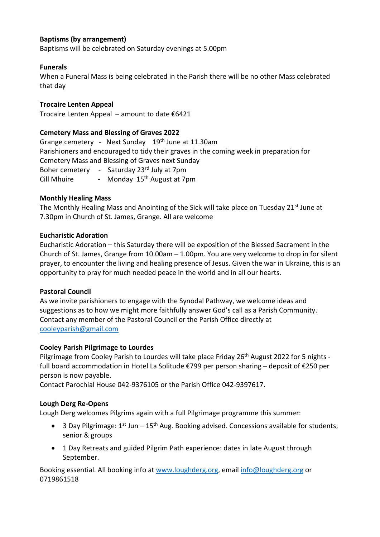# **Baptisms (by arrangement)**

Baptisms will be celebrated on Saturday evenings at 5.00pm

#### **Funerals**

When a Funeral Mass is being celebrated in the Parish there will be no other Mass celebrated that day

#### **Trocaire Lenten Appeal**

Trocaire Lenten Appeal – amount to date €6421

#### **Cemetery Mass and Blessing of Graves 2022**

Grange cemetery - Next Sunday 19th June at 11.30am Parishioners and encouraged to tidy their graves in the coming week in preparation for Cemetery Mass and Blessing of Graves next Sunday Boher cemetery - Saturday 23rd July at 7pm Cill Mhuire - Monday 15<sup>th</sup> August at 7pm

#### **Monthly Healing Mass**

The Monthly Healing Mass and Anointing of the Sick will take place on Tuesday 21<sup>st</sup> June at 7.30pm in Church of St. James, Grange. All are welcome

# **Eucharistic Adoration**

Eucharistic Adoration – this Saturday there will be exposition of the Blessed Sacrament in the Church of St. James, Grange from 10.00am – 1.00pm. You are very welcome to drop in for silent prayer, to encounter the living and healing presence of Jesus. Given the war in Ukraine, this is an opportunity to pray for much needed peace in the world and in all our hearts.

#### **Pastoral Council**

As we invite parishioners to engage with the Synodal Pathway, we welcome ideas and suggestions as to how we might more faithfully answer God's call as a Parish Community. Contact any member of the Pastoral Council or the Parish Office directly at [cooleyparish@gmail.com](mailto:cooleyparish@gmail.com)

#### **Cooley Parish Pilgrimage to Lourdes**

Pilgrimage from Cooley Parish to Lourdes will take place Friday 26<sup>th</sup> August 2022 for 5 nights full board accommodation in Hotel La Solitude €799 per person sharing – deposit of €250 per person is now payable.

Contact Parochial House 042-9376105 or the Parish Office 042-9397617.

#### **Lough Derg Re-Opens**

Lough Derg welcomes Pilgrims again with a full Pilgrimage programme this summer:

- 3 Day Pilgrimage:  $1^{st}$  Jun  $15^{th}$  Aug. Booking advised. Concessions available for students, senior & groups
- 1 Day Retreats and guided Pilgrim Path experience: dates in late August through September.

Booking essential. All booking info at [www.loughderg.org,](http://www.loughderg.org/) email [info@loughderg.org](mailto:info@loughderg.org) or 0719861518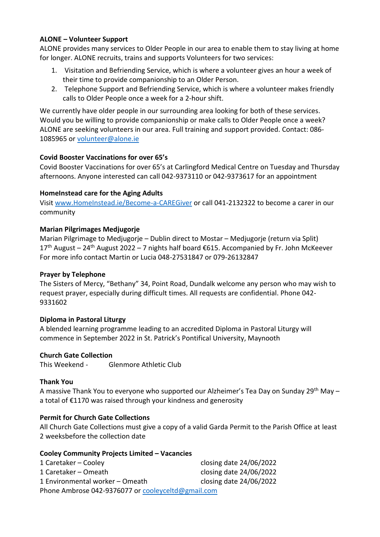# **ALONE – Volunteer Support**

ALONE provides many services to Older People in our area to enable them to stay living at home for longer. ALONE recruits, trains and supports Volunteers for two services:

- 1. Visitation and Befriending Service, which is where a volunteer gives an hour a week of their time to provide companionship to an Older Person.
- 2. Telephone Support and Befriending Service, which is where a volunteer makes friendly calls to Older People once a week for a 2-hour shift.

We currently have older people in our surrounding area looking for both of these services. Would you be willing to provide companionship or make calls to Older People once a week? ALONE are seeking volunteers in our area. Full training and support provided. Contact: 086- 1085965 or [volunteer@alone.ie](mailto:volunteer@alone.ie)

# **Covid Booster Vaccinations for over 65's**

Covid Booster Vaccinations for over 65's at Carlingford Medical Centre on Tuesday and Thursday afternoons. Anyone interested can call 042-9373110 or 042-9373617 for an appointment

# **HomeInstead care for the Aging Adults**

Visit<www.HomeInstead.ie/Become-a-CAREGiver> or call 041-2132322 to become a carer in our community

# **Marian Pilgrimages Medjugorje**

Marian Pilgrimage to Medjugorje – Dublin direct to Mostar – Medjugorje (return via Split) 17<sup>th</sup> August – 24<sup>th</sup> August 2022 – 7 nights half board €615. Accompanied by Fr. John McKeever For more info contact Martin or Lucia 048-27531847 or 079-26132847

#### **Prayer by Telephone**

The Sisters of Mercy, "Bethany" 34, Point Road, Dundalk welcome any person who may wish to request prayer, especially during difficult times. All requests are confidential. Phone 042- 9331602

#### **Diploma in Pastoral Liturgy**

A blended learning programme leading to an accredited Diploma in Pastoral Liturgy will commence in September 2022 in St. Patrick's Pontifical University, Maynooth

#### **Church Gate Collection**

This Weekend - Glenmore Athletic Club

#### **Thank You**

A massive Thank You to everyone who supported our Alzheimer's Tea Day on Sunday 29th May – a total of €1170 was raised through your kindness and generosity

# **Permit for Church Gate Collections**

All Church Gate Collections must give a copy of a valid Garda Permit to the Parish Office at least 2 weeksbefore the collection date

#### **Cooley Community Projects Limited – Vacancies**

| 1 Caretaker – Cooley                               | closing date 24/06/2022 |  |  |  |  |
|----------------------------------------------------|-------------------------|--|--|--|--|
| 1 Caretaker – Omeath                               | closing date 24/06/2022 |  |  |  |  |
| 1 Environmental worker – Omeath                    | closing date 24/06/2022 |  |  |  |  |
| Phone Ambrose 042-9376077 or cooleyceltd@gmail.com |                         |  |  |  |  |